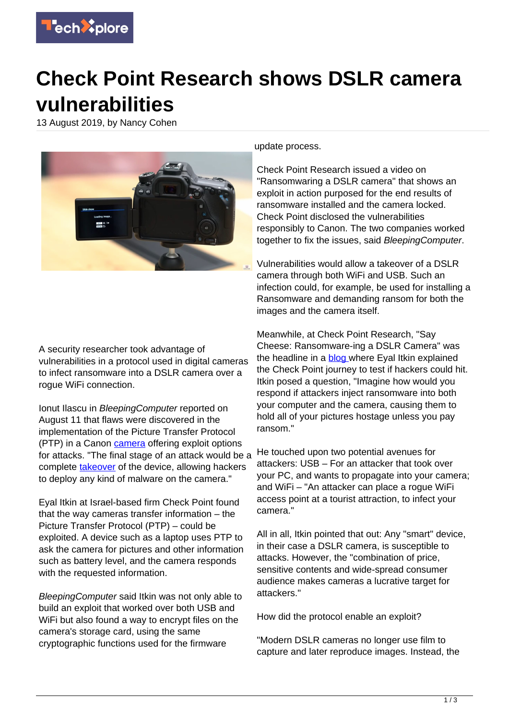

## **Check Point Research shows DSLR camera vulnerabilities**

13 August 2019, by Nancy Cohen



A security researcher took advantage of vulnerabilities in a protocol used in digital cameras to infect ransomware into a DSLR camera over a rogue WiFi connection.

Ionut Ilascu in BleepingComputer reported on August 11 that flaws were discovered in the implementation of the Picture Transfer Protocol (PTP) in a Canon [camera](https://techxplore.com/tags/camera/) offering exploit options for attacks. "The final stage of an attack would be a complete [takeover](https://www.bleepingcomputer.com/news/security/canon-dslr-camera-infected-with-ransomware-over-the-air/) of the device, allowing hackers to deploy any kind of malware on the camera."

Eyal Itkin at Israel-based firm Check Point found that the way cameras transfer information – the Picture Transfer Protocol (PTP) – could be exploited. A device such as a laptop uses PTP to ask the camera for pictures and other information such as battery level, and the camera responds with the requested information.

BleepingComputer said Itkin was not only able to build an exploit that worked over both USB and WiFi but also found a way to encrypt files on the camera's storage card, using the same cryptographic functions used for the firmware

update process.

Check Point Research issued a video on "Ransomwaring a DSLR camera" that shows an exploit in action purposed for the end results of ransomware installed and the camera locked. Check Point disclosed the vulnerabilities responsibly to Canon. The two companies worked together to fix the issues, said BleepingComputer.

Vulnerabilities would allow a takeover of a DSLR camera through both WiFi and USB. Such an infection could, for example, be used for installing a Ransomware and demanding ransom for both the images and the camera itself.

Meanwhile, at Check Point Research, "Say Cheese: Ransomware-ing a DSLR Camera" was the headline in a **blog** where Eyal Itkin explained the Check Point journey to test if hackers could hit. Itkin posed a question, "Imagine how would you respond if attackers inject ransomware into both your computer and the camera, causing them to hold all of your pictures hostage unless you pay ransom."

He touched upon two potential avenues for attackers: USB – For an attacker that took over your PC, and wants to propagate into your camera; and WiFi – "An attacker can place a rogue WiFi access point at a tourist attraction, to infect your camera."

All in all, Itkin pointed that out: Any "smart" device, in their case a DSLR camera, is susceptible to attacks. However, the "combination of price, sensitive contents and wide-spread consumer audience makes cameras a lucrative target for attackers."

How did the protocol enable an exploit?

"Modern DSLR cameras no longer use film to capture and later reproduce images. Instead, the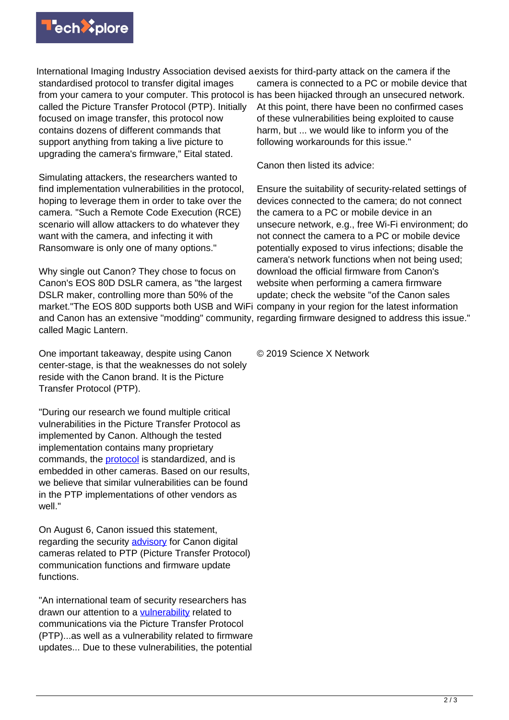

International Imaging Industry Association devised a exists for third-party attack on the camera if the standardised protocol to transfer digital images from your camera to your computer. This protocol is has been hijacked through an unsecured network. called the Picture Transfer Protocol (PTP). Initially focused on image transfer, this protocol now contains dozens of different commands that support anything from taking a live picture to upgrading the camera's firmware," Eital stated.

Simulating attackers, the researchers wanted to find implementation vulnerabilities in the protocol, hoping to leverage them in order to take over the camera. "Such a Remote Code Execution (RCE) scenario will allow attackers to do whatever they want with the camera, and infecting it with Ransomware is only one of many options."

Why single out Canon? They chose to focus on Canon's EOS 80D DSLR camera, as "the largest DSLR maker, controlling more than 50% of the market."The EOS 80D supports both USB and WiFi company in your region for the latest information and Canon has an extensive "modding" community, regarding firmware designed to address this issue." called Magic Lantern.

One important takeaway, despite using Canon center-stage, is that the weaknesses do not solely reside with the Canon brand. It is the Picture Transfer Protocol (PTP).

"During our research we found multiple critical vulnerabilities in the Picture Transfer Protocol as implemented by Canon. Although the tested implementation contains many proprietary commands, the [protocol](https://techxplore.com/tags/protocol/) is standardized, and is embedded in other cameras. Based on our results, we believe that similar vulnerabilities can be found in the PTP implementations of other vendors as well."

On August 6, Canon issued this statement, regarding the security [advisory](https://global.canon/en/support/security/d-camera.html) for Canon digital cameras related to PTP (Picture Transfer Protocol) communication functions and firmware update functions.

"An international team of security researchers has drawn our attention to a [vulnerability](https://techxplore.com/tags/vulnerability/) related to communications via the Picture Transfer Protocol (PTP)...as well as a vulnerability related to firmware updates... Due to these vulnerabilities, the potential

camera is connected to a PC or mobile device that At this point, there have been no confirmed cases of these vulnerabilities being exploited to cause harm, but ... we would like to inform you of the following workarounds for this issue."

Canon then listed its advice:

Ensure the suitability of security-related settings of devices connected to the camera; do not connect the camera to a PC or mobile device in an unsecure network, e.g., free Wi-Fi environment; do not connect the camera to a PC or mobile device potentially exposed to virus infections; disable the camera's network functions when not being used; download the official firmware from Canon's website when performing a camera firmware update; check the website "of the Canon sales

© 2019 Science X Network